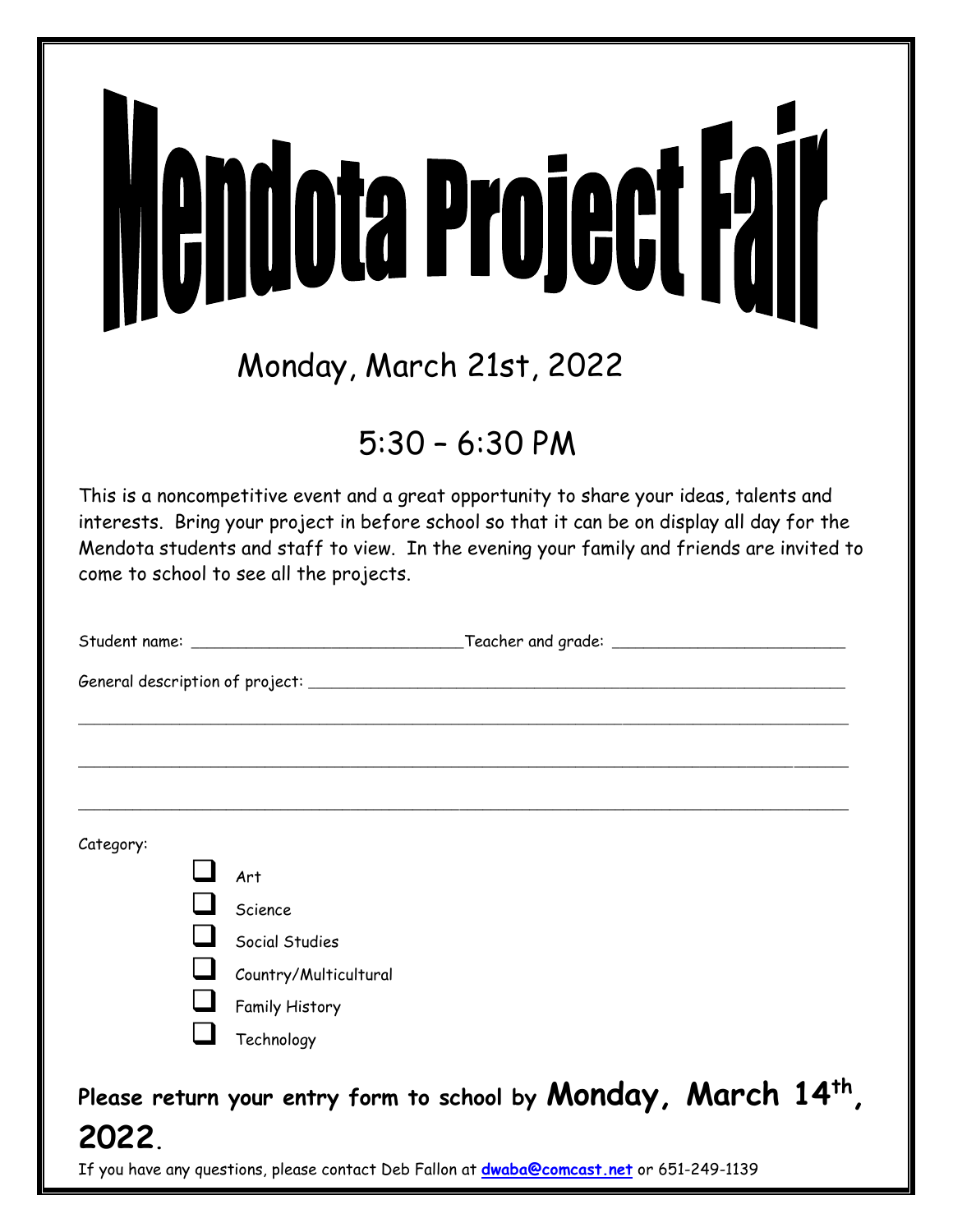| <b>Nendota Project Fair</b><br>Monday, March 21st, 2022                                                                                                                                                                                                                                                                        |
|--------------------------------------------------------------------------------------------------------------------------------------------------------------------------------------------------------------------------------------------------------------------------------------------------------------------------------|
| $5:30 - 6:30 P$ M                                                                                                                                                                                                                                                                                                              |
| This is a noncompetitive event and a great opportunity to share your ideas, talents and<br>interests. Bring your project in before school so that it can be on display all day for the<br>Mendota students and staff to view. In the evening your family and friends are invited to<br>come to school to see all the projects. |
|                                                                                                                                                                                                                                                                                                                                |
|                                                                                                                                                                                                                                                                                                                                |
|                                                                                                                                                                                                                                                                                                                                |
|                                                                                                                                                                                                                                                                                                                                |
| Category:<br>Art<br>Science<br>Social Studies<br>Country/Multicultural<br><b>Family History</b><br>Technology                                                                                                                                                                                                                  |
| Please return your entry form to school by Monday, March 14th<br>2022.                                                                                                                                                                                                                                                         |

If you have any questions, please contact Deb Fallon at **[dwaba@comcast.net](mailto:dwaba@comcast.net)** or 651-249-1139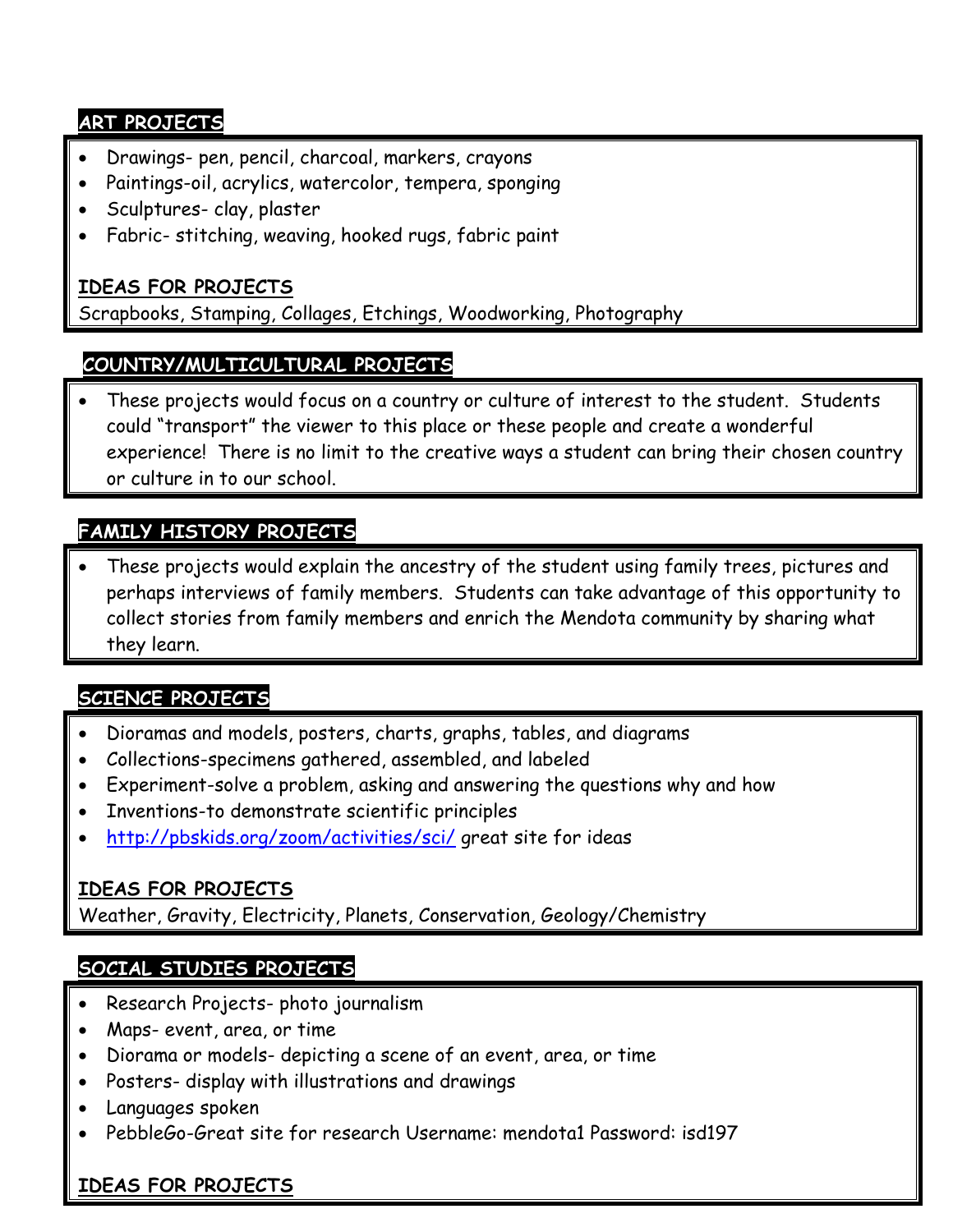#### **ART PROJECTS**

- Drawings- pen, pencil, charcoal, markers, crayons
- Paintings-oil, acrylics, watercolor, tempera, sponging
- Sculptures- clay, plaster
- Fabric- stitching, weaving, hooked rugs, fabric paint

#### **IDEAS FOR PROJECTS**

Scrapbooks, Stamping, Collages, Etchings, Woodworking, Photography

## **COUNTRY/MULTICULTURAL PROJECTS**

 These projects would focus on a country or culture of interest to the student. Students could "transport" the viewer to this place or these people and create a wonderful experience! There is no limit to the creative ways a student can bring their chosen country or culture in to our school.

## **FAMILY HISTORY PROJECTS**

 These projects would explain the ancestry of the student using family trees, pictures and perhaps interviews of family members. Students can take advantage of this opportunity to collect stories from family members and enrich the Mendota community by sharing what they learn.

## **SCIENCE PROJECTS**

- Dioramas and models, posters, charts, graphs, tables, and diagrams
- Collections-specimens gathered, assembled, and labeled
- Experiment-solve a problem, asking and answering the questions why and how
- Inventions-to demonstrate scientific principles
- <http://pbskids.org/zoom/activities/sci/> great site for ideas

#### **IDEAS FOR PROJECTS**

Weather, Gravity, Electricity, Planets, Conservation, Geology/Chemistry

## **SOCIAL STUDIES PROJECTS**

- Research Projects- photo journalism
- Maps- event, area, or time
- Diorama or models- depicting a scene of an event, area, or time
- Posters- display with illustrations and drawings
- Languages spoken
- PebbleGo-Great site for research Username: mendota1 Password: isd197

## **IDEAS FOR PROJECTS**